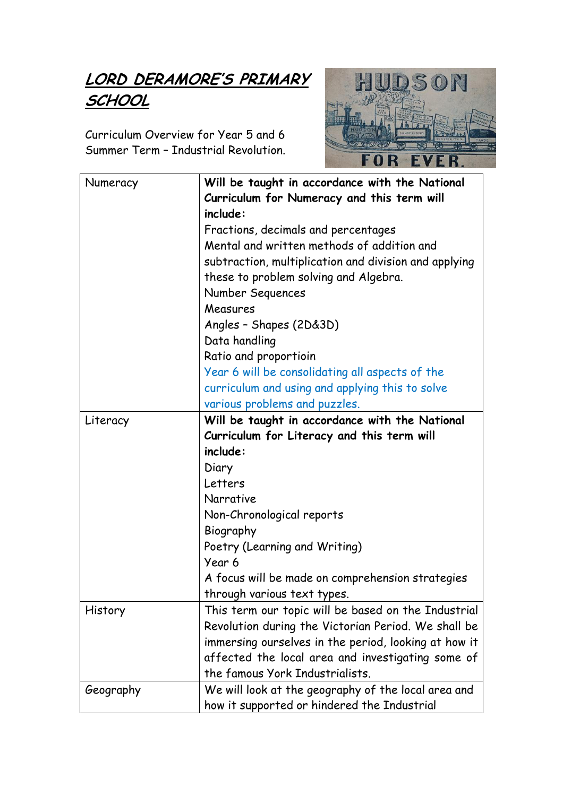## LORD DERAMORE'S PRIMARY **SCHOOL**

Curriculum Overview for Year 5 and 6 Summer Term – Industrial Revolution.



| Numeracy  | Will be taught in accordance with the National                                                             |
|-----------|------------------------------------------------------------------------------------------------------------|
|           | Curriculum for Numeracy and this term will<br>include:                                                     |
|           | Fractions, decimals and percentages                                                                        |
|           | Mental and written methods of addition and                                                                 |
|           | subtraction, multiplication and division and applying                                                      |
|           | these to problem solving and Algebra.                                                                      |
|           | Number Sequences                                                                                           |
|           | Measures                                                                                                   |
|           | Angles - Shapes (2D&3D)                                                                                    |
|           | Data handling                                                                                              |
|           | Ratio and proportioin                                                                                      |
|           | Year 6 will be consolidating all aspects of the                                                            |
|           | curriculum and using and applying this to solve                                                            |
|           | various problems and puzzles.                                                                              |
| Literacy  | Will be taught in accordance with the National                                                             |
|           | Curriculum for Literacy and this term will                                                                 |
|           | include:                                                                                                   |
|           | Diary                                                                                                      |
|           | Letters                                                                                                    |
|           | Narrative                                                                                                  |
|           | Non-Chronological reports                                                                                  |
|           | Biography                                                                                                  |
|           | Poetry (Learning and Writing)                                                                              |
|           | Year 6                                                                                                     |
|           | A focus will be made on comprehension strategies                                                           |
|           | through various text types.                                                                                |
| History   | This term our topic will be based on the Industrial<br>Revolution during the Victorian Period. We shall be |
|           | immersing ourselves in the period, looking at how it                                                       |
|           | affected the local area and investigating some of                                                          |
|           | the famous York Industrialists.                                                                            |
| Geography | We will look at the geography of the local area and                                                        |
|           | how it supported or hindered the Industrial                                                                |